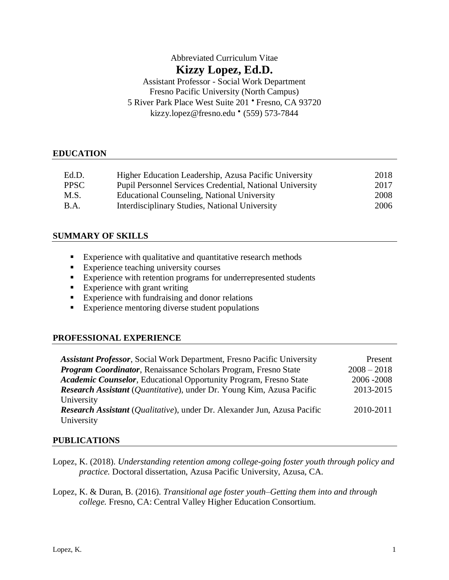# Abbreviated Curriculum Vitae **Kizzy Lopez, Ed.D.** Assistant Professor - Social Work Department Fresno Pacific University (North Campus)

5 River Park Place West Suite 201 • Fresno, CA 93720 [kizzy.lopez@fresno.edu](mailto:kizzy.lopez@fresno.edu) • (559) 573-7844

## **EDUCATION**

| Ed.D.       | Higher Education Leadership, Azusa Pacific University           | 2018 |
|-------------|-----------------------------------------------------------------|------|
| <b>PPSC</b> | <b>Pupil Personnel Services Credential, National University</b> | 2017 |
| M.S.        | <b>Educational Counseling, National University</b>              | 2008 |
| B.A.        | Interdisciplinary Studies, National University                  | 2006 |

## **SUMMARY OF SKILLS**

- Experience with qualitative and quantitative research methods
- Experience teaching university courses
- Experience with retention programs for underrepresented students
- $\blacksquare$  Experience with grant writing
- Experience with fundraising and donor relations
- Experience mentoring diverse student populations

## **PROFESSIONAL EXPERIENCE**

| <b>Assistant Professor, Social Work Department, Fresno Pacific University</b>         | Present       |
|---------------------------------------------------------------------------------------|---------------|
| <b>Program Coordinator, Renaissance Scholars Program, Fresno State</b>                | $2008 - 2018$ |
| Academic Counselor, Educational Opportunity Program, Fresno State                     | 2006 - 2008   |
| <b>Research Assistant</b> ( <i>Quantitative</i> ), under Dr. Young Kim, Azusa Pacific | 2013-2015     |
| University                                                                            |               |
| <b>Research Assistant</b> (Qualitative), under Dr. Alexander Jun, Azusa Pacific       | 2010-2011     |
| University                                                                            |               |

## **PUBLICATIONS**

- Lopez, K. (2018). *Understanding retention among college-going foster youth through policy and practice.* Doctoral dissertation, Azusa Pacific University, Azusa, CA.
- Lopez, K. & Duran, B. (2016). *Transitional age foster youth–Getting them into and through college.* Fresno, CA: Central Valley Higher Education Consortium.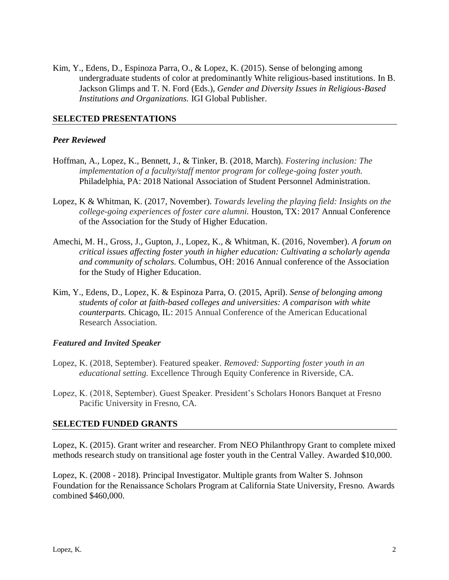Kim, Y., Edens, D., Espinoza Parra, O., & Lopez, K. (2015). Sense of belonging among undergraduate students of color at predominantly White religious-based institutions. In B. Jackson Glimps and T. N. Ford (Eds.), *Gender and Diversity Issues in Religious-Based Institutions and Organizations.* IGI Global Publisher.

### **SELECTED PRESENTATIONS**

#### *Peer Reviewed*

- Hoffman, A., Lopez, K., Bennett, J., & Tinker, B. (2018, March). *Fostering inclusion: The implementation of a faculty/staff mentor program for college-going foster youth.* Philadelphia, PA: 2018 National Association of Student Personnel Administration.
- Lopez, K & Whitman, K. (2017, November). *Towards leveling the playing field: Insights on the college-going experiences of foster care alumni.* Houston, TX: 2017 Annual Conference of the Association for the Study of Higher Education.
- Amechi, M. H., Gross, J., Gupton, J., Lopez, K., & Whitman, K. (2016, November). *A forum on critical issues affecting foster youth in higher education: Cultivating a scholarly agenda and community of scholars.* Columbus, OH: 2016 Annual conference of the Association for the Study of Higher Education.
- Kim, Y., Edens, D., Lopez, K. & Espinoza Parra, O. (2015, April). *Sense of belonging among students of color at faith-based colleges and universities: A comparison with white counterparts.* Chicago, IL: 2015 Annual Conference of the American Educational Research Association.

#### *Featured and Invited Speaker*

- Lopez, K. (2018, September). Featured speaker. *Removed: Supporting foster youth in an educational setting.* Excellence Through Equity Conference in Riverside, CA.
- Lopez, K. (2018, September). Guest Speaker. President's Scholars Honors Banquet at Fresno Pacific University in Fresno, CA.

#### **SELECTED FUNDED GRANTS**

Lopez, K. (2015). Grant writer and researcher. From NEO Philanthropy Grant to complete mixed methods research study on transitional age foster youth in the Central Valley. Awarded \$10,000.

Lopez, K. (2008 - 2018). Principal Investigator. Multiple grants from Walter S. Johnson Foundation for the Renaissance Scholars Program at California State University, Fresno. Awards combined \$460,000.